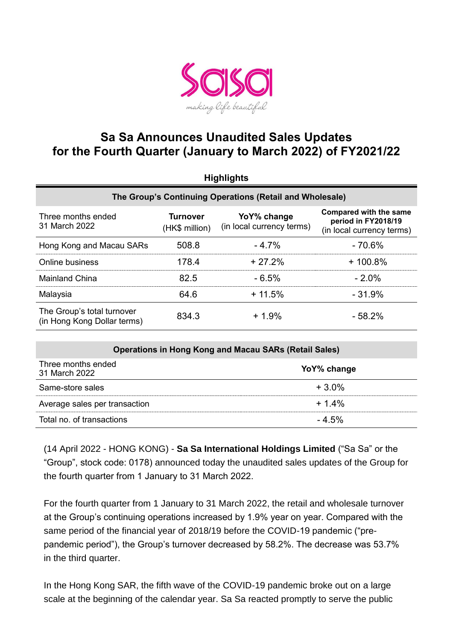

## **Sa Sa Announces Unaudited Sales Updates for the Fourth Quarter (January to March 2022) of FY2021/22**

| <b>Highlights</b>                                         |                                   |                                          |                                                                                   |  |  |
|-----------------------------------------------------------|-----------------------------------|------------------------------------------|-----------------------------------------------------------------------------------|--|--|
| The Group's Continuing Operations (Retail and Wholesale)  |                                   |                                          |                                                                                   |  |  |
| Three months ended<br>31 March 2022                       | <b>Turnover</b><br>(HK\$ million) | YoY% change<br>(in local currency terms) | <b>Compared with the same</b><br>period in FY2018/19<br>(in local currency terms) |  |  |
| Hong Kong and Macau SARs                                  | 508.8                             | $-4.7%$                                  | $-70.6%$                                                                          |  |  |
| Online business                                           | 178.4                             | $+27.2%$                                 | $+100.8%$                                                                         |  |  |
| <b>Mainland China</b>                                     | 82.5                              | $-6.5%$                                  | $-2.0\%$                                                                          |  |  |
| Malaysia                                                  | 64.6                              | $+11.5%$                                 | $-31.9%$                                                                          |  |  |
| The Group's total turnover<br>(in Hong Kong Dollar terms) | 834.3                             | $+1.9%$                                  | $-58.2%$                                                                          |  |  |

| <b>Operations in Hong Kong and Macau SARs (Retail Sales)</b> |             |  |  |
|--------------------------------------------------------------|-------------|--|--|
| Three months ended<br>31 March 2022                          | YoY% change |  |  |
| Same-store sales                                             | $+3.0\%$    |  |  |
| Average sales per transaction                                | $+1.4%$     |  |  |
| Total no. of transactions                                    | $-4.5%$     |  |  |

(14 April 2022 - HONG KONG) - **Sa Sa International Holdings Limited** ("Sa Sa" or the "Group", stock code: 0178) announced today the unaudited sales updates of the Group for the fourth quarter from 1 January to 31 March 2022.

For the fourth quarter from 1 January to 31 March 2022, the retail and wholesale turnover at the Group's continuing operations increased by 1.9% year on year. Compared with the same period of the financial year of 2018/19 before the COVID-19 pandemic ("prepandemic period"), the Group's turnover decreased by 58.2%. The decrease was 53.7% in the third quarter.

In the Hong Kong SAR, the fifth wave of the COVID-19 pandemic broke out on a large scale at the beginning of the calendar year. Sa Sa reacted promptly to serve the public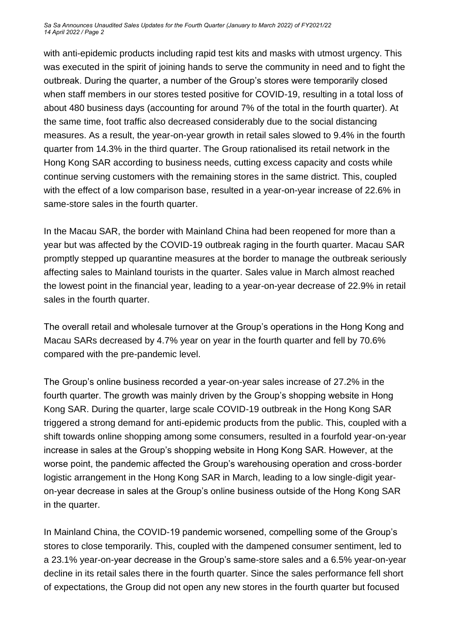*Sa Sa Announces Unaudited Sales Updates for the Fourth Quarter (January to March 2022) of FY2021/22 14 April 2022 / Page 2*

with anti-epidemic products including rapid test kits and masks with utmost urgency. This was executed in the spirit of joining hands to serve the community in need and to fight the outbreak. During the quarter, a number of the Group's stores were temporarily closed when staff members in our stores tested positive for COVID-19, resulting in a total loss of about 480 business days (accounting for around 7% of the total in the fourth quarter). At the same time, foot traffic also decreased considerably due to the social distancing measures. As a result, the year-on-year growth in retail sales slowed to 9.4% in the fourth quarter from 14.3% in the third quarter. The Group rationalised its retail network in the Hong Kong SAR according to business needs, cutting excess capacity and costs while continue serving customers with the remaining stores in the same district. This, coupled with the effect of a low comparison base, resulted in a year-on-year increase of 22.6% in same-store sales in the fourth quarter.

In the Macau SAR, the border with Mainland China had been reopened for more than a year but was affected by the COVID-19 outbreak raging in the fourth quarter. Macau SAR promptly stepped up quarantine measures at the border to manage the outbreak seriously affecting sales to Mainland tourists in the quarter. Sales value in March almost reached the lowest point in the financial year, leading to a year-on-year decrease of 22.9% in retail sales in the fourth quarter.

The overall retail and wholesale turnover at the Group's operations in the Hong Kong and Macau SARs decreased by 4.7% year on year in the fourth quarter and fell by 70.6% compared with the pre-pandemic level.

The Group's online business recorded a year-on-year sales increase of 27.2% in the fourth quarter. The growth was mainly driven by the Group's shopping website in Hong Kong SAR. During the quarter, large scale COVID-19 outbreak in the Hong Kong SAR triggered a strong demand for anti-epidemic products from the public. This, coupled with a shift towards online shopping among some consumers, resulted in a fourfold year-on-year increase in sales at the Group's shopping website in Hong Kong SAR. However, at the worse point, the pandemic affected the Group's warehousing operation and cross-border logistic arrangement in the Hong Kong SAR in March, leading to a low single-digit yearon-year decrease in sales at the Group's online business outside of the Hong Kong SAR in the quarter.

In Mainland China, the COVID-19 pandemic worsened, compelling some of the Group's stores to close temporarily. This, coupled with the dampened consumer sentiment, led to a 23.1% year-on-year decrease in the Group's same-store sales and a 6.5% year-on-year decline in its retail sales there in the fourth quarter. Since the sales performance fell short of expectations, the Group did not open any new stores in the fourth quarter but focused